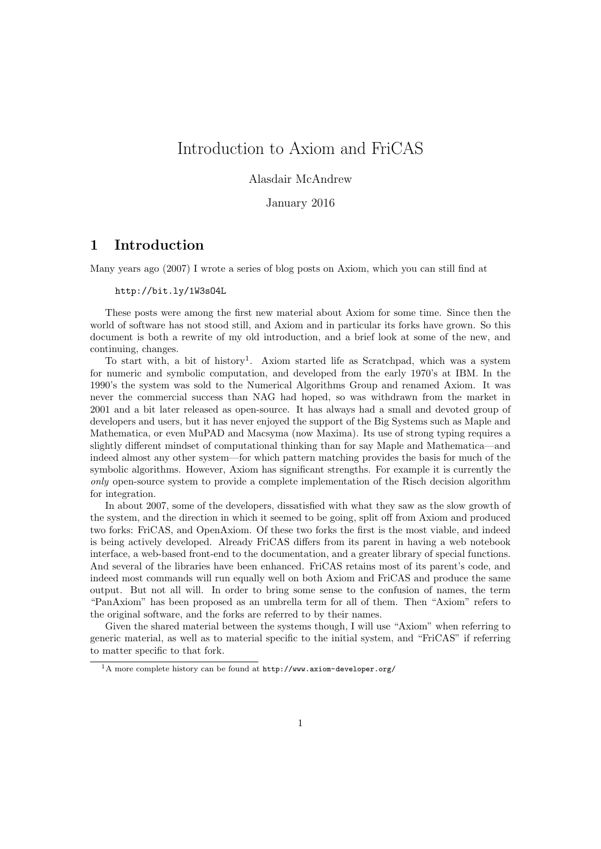# Introduction to Axiom and FriCAS

## Alasdair McAndrew

## January 2016

# 1 Introduction

Many years ago (2007) I wrote a series of blog posts on Axiom, which you can still find at

#### http://bit.ly/1W3sO4L

These posts were among the first new material about Axiom for some time. Since then the world of software has not stood still, and Axiom and in particular its forks have grown. So this document is both a rewrite of my old introduction, and a brief look at some of the new, and continuing, changes.

To start with, a bit of history<sup>1</sup>. Axiom started life as Scratchpad, which was a system for numeric and symbolic computation, and developed from the early 1970's at IBM. In the 1990's the system was sold to the Numerical Algorithms Group and renamed Axiom. It was never the commercial success than NAG had hoped, so was withdrawn from the market in 2001 and a bit later released as open-source. It has always had a small and devoted group of developers and users, but it has never enjoyed the support of the Big Systems such as Maple and Mathematica, or even MuPAD and Macsyma (now Maxima). Its use of strong typing requires a slightly different mindset of computational thinking than for say Maple and Mathematica—and indeed almost any other system—for which pattern matching provides the basis for much of the symbolic algorithms. However, Axiom has significant strengths. For example it is currently the only open-source system to provide a complete implementation of the Risch decision algorithm for integration.

In about 2007, some of the developers, dissatisfied with what they saw as the slow growth of the system, and the direction in which it seemed to be going, split off from Axiom and produced two forks: FriCAS, and OpenAxiom. Of these two forks the first is the most viable, and indeed is being actively developed. Already FriCAS differs from its parent in having a web notebook interface, a web-based front-end to the documentation, and a greater library of special functions. And several of the libraries have been enhanced. FriCAS retains most of its parent's code, and indeed most commands will run equally well on both Axiom and FriCAS and produce the same output. But not all will. In order to bring some sense to the confusion of names, the term "PanAxiom" has been proposed as an umbrella term for all of them. Then "Axiom" refers to the original software, and the forks are referred to by their names.

Given the shared material between the systems though, I will use "Axiom" when referring to generic material, as well as to material specific to the initial system, and "FriCAS" if referring to matter specific to that fork.

 $1_A$  more complete history can be found at http://www.axiom-developer.org/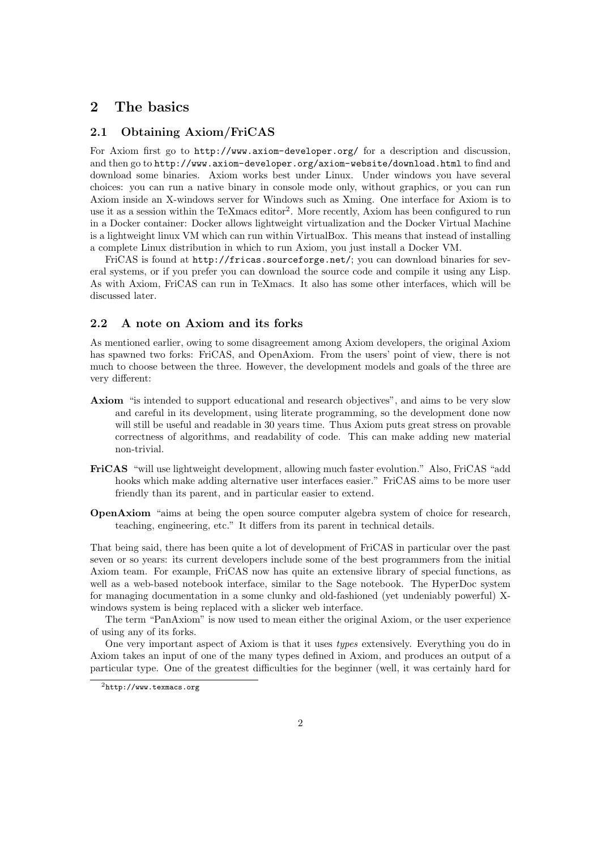# 2 The basics

## 2.1 Obtaining Axiom/FriCAS

For Axiom first go to http://www.axiom-developer.org/ for a description and discussion, and then go to http://www.axiom-developer.org/axiom-website/download.html to find and download some binaries. Axiom works best under Linux. Under windows you have several choices: you can run a native binary in console mode only, without graphics, or you can run Axiom inside an X-windows server for Windows such as Xming. One interface for Axiom is to use it as a session within the TeXmacs editor<sup>2</sup>. More recently, Axiom has been configured to run in a Docker container: Docker allows lightweight virtualization and the Docker Virtual Machine is a lightweight linux VM which can run within VirtualBox. This means that instead of installing a complete Linux distribution in which to run Axiom, you just install a Docker VM.

FriCAS is found at http://fricas.sourceforge.net/; you can download binaries for several systems, or if you prefer you can download the source code and compile it using any Lisp. As with Axiom, FriCAS can run in TeXmacs. It also has some other interfaces, which will be discussed later.

#### 2.2 A note on Axiom and its forks

As mentioned earlier, owing to some disagreement among Axiom developers, the original Axiom has spawned two forks: FriCAS, and OpenAxiom. From the users' point of view, there is not much to choose between the three. However, the development models and goals of the three are very different:

- Axiom "is intended to support educational and research objectives", and aims to be very slow and careful in its development, using literate programming, so the development done now will still be useful and readable in 30 years time. Thus Axiom puts great stress on provable correctness of algorithms, and readability of code. This can make adding new material non-trivial.
- FriCAS "will use lightweight development, allowing much faster evolution." Also, FriCAS "add hooks which make adding alternative user interfaces easier." FriCAS aims to be more user friendly than its parent, and in particular easier to extend.
- OpenAxiom "aims at being the open source computer algebra system of choice for research, teaching, engineering, etc." It differs from its parent in technical details.

That being said, there has been quite a lot of development of FriCAS in particular over the past seven or so years: its current developers include some of the best programmers from the initial Axiom team. For example, FriCAS now has quite an extensive library of special functions, as well as a web-based notebook interface, similar to the Sage notebook. The HyperDoc system for managing documentation in a some clunky and old-fashioned (yet undeniably powerful) Xwindows system is being replaced with a slicker web interface.

The term "PanAxiom" is now used to mean either the original Axiom, or the user experience of using any of its forks.

One very important aspect of Axiom is that it uses types extensively. Everything you do in Axiom takes an input of one of the many types defined in Axiom, and produces an output of a particular type. One of the greatest difficulties for the beginner (well, it was certainly hard for

<sup>2</sup>http://www.texmacs.org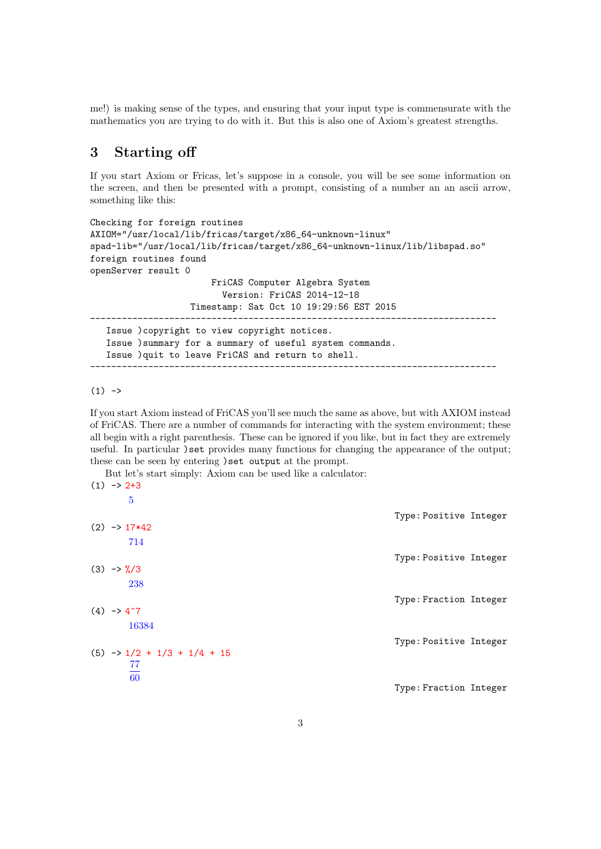me!) is making sense of the types, and ensuring that your input type is commensurate with the mathematics you are trying to do with it. But this is also one of Axiom's greatest strengths.

# 3 Starting off

If you start Axiom or Fricas, let's suppose in a console, you will be see some information on the screen, and then be presented with a prompt, consisting of a number an an ascii arrow, something like this:

```
Checking for foreign routines
AXIOM="/usr/local/lib/fricas/target/x86_64-unknown-linux"
spad-lib="/usr/local/lib/fricas/target/x86_64-unknown-linux/lib/libspad.so"
foreign routines found
openServer result 0
                       FriCAS Computer Algebra System
                         Version: FriCAS 2014-12-18
                   Timestamp: Sat Oct 10 19:29:56 EST 2015
-----------------------------------------------------------------------------
   Issue )copyright to view copyright notices.
   Issue )summary for a summary of useful system commands.
   Issue )quit to leave FriCAS and return to shell.
-----------------------------------------------------------------------------
```
 $(1)$  ->

If you start Axiom instead of FriCAS you'll see much the same as above, but with AXIOM instead of FriCAS. There are a number of commands for interacting with the system environment; these all begin with a right parenthesis. These can be ignored if you like, but in fact they are extremely useful. In particular ) set provides many functions for changing the appearance of the output; these can be seen by entering ) set output at the prompt.<br>But lot's start simply: A viom can be used like a calcula

|  | But let's start simply: Axiom can be used like a calculator:<br>$(1) \rightarrow 2+3$ |                        |  |
|--|---------------------------------------------------------------------------------------|------------------------|--|
|  | 5                                                                                     |                        |  |
|  | $(2) \rightarrow 17*42$                                                               | Type: Positive Integer |  |
|  | 714                                                                                   | Type: Positive Integer |  |
|  | $(3) \rightarrow \frac{9}{6}/3$<br>238                                                |                        |  |
|  | $(4) \rightarrow 4^{\degree}7$                                                        | Type: Fraction Integer |  |
|  | 16384                                                                                 |                        |  |
|  | $(5) \rightarrow 1/2 + 1/3 + 1/4 + 15$                                                | Type: Positive Integer |  |
|  | 77<br>$\overline{60}$                                                                 |                        |  |
|  |                                                                                       | Type: Fraction Integer |  |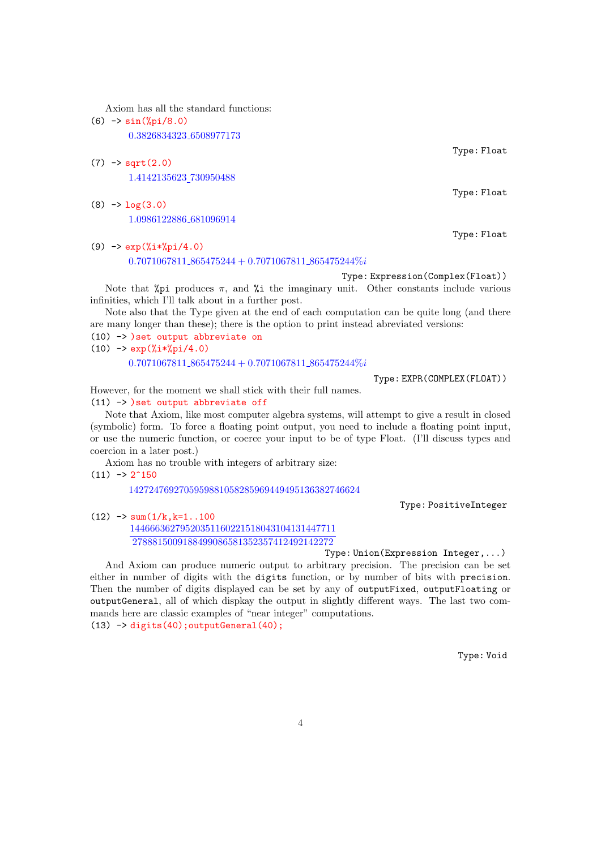Axiom has all the standard functions:

(6) -> sin(%pi/8.0)

0.3826834323 6508977173

- $(7)$  -> sqrt $(2.0)$ 1.4142135623 730950488
- $(8)$  ->  $log(3.0)$ 1.0986122886 681096914
- (9)  $\rightarrow \exp(\frac{9}{1}*\frac{9}{1})/4.0$

 $0.7071067811.865475244 + 0.7071067811.865475244\%$ 

Type: Expression(Complex(Float))

Note that  $\chi_{pi}$  produces  $\pi$ , and  $\chi$  i the imaginary unit. Other constants include various infinities, which I'll talk about in a further post.

Note also that the Type given at the end of each computation can be quite long (and there are many longer than these); there is the option to print instead abreviated versions:

(10) -> )set output abbreviate on

 $(10)$  ->  $\exp(\frac{9}{6}i*\frac{9}{6}pi/4.0)$  $0.7071067811.865475244 + 0.7071067811.865475244\%$ i

Type: EXPR(COMPLEX(FLOAT))

However, for the moment we shall stick with their full names. (11) -> )set output abbreviate off

Note that Axiom, like most computer algebra systems, will attempt to give a result in closed (symbolic) form. To force a floating point output, you need to include a floating point input, or use the numeric function, or coerce your input to be of type Float. (I'll discuss types and coercion in a later post.)

Axiom has no trouble with integers of arbitrary size:

 $(11)$   $\rightarrow$  2<sup> $\gamma$ </sup>150

1427247692705959881058285969449495136382746624

Type: PositiveInteger

 $(12)$  -> sum $(1/k, k=1.100)$ 14466636279520351160221518043104131447711 2788815009188499086581352357412492142272

Type: Union(Expression Integer,...)

And Axiom can produce numeric output to arbitrary precision. The precision can be set either in number of digits with the digits function, or by number of bits with precision. Then the number of digits displayed can be set by any of outputFixed, outputFloating or outputGeneral, all of which dispkay the output in slightly different ways. The last two commands here are classic examples of "near integer" computations.  $(13)$   $\rightarrow$  digits(40); outputGeneral(40);

Type: Void

Type: Float

Type: Float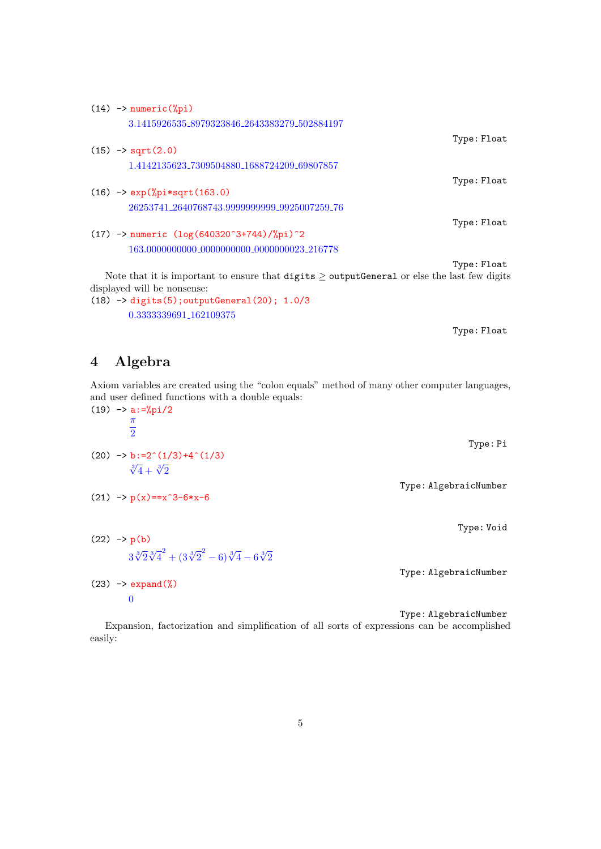| $(14)$ -> numeric(%pi)                                                                            |             |
|---------------------------------------------------------------------------------------------------|-------------|
| 3.1415926535_8979323846_2643383279_502884197                                                      |             |
|                                                                                                   | Type: Float |
| $(15)$ -> sqrt $(2.0)$                                                                            |             |
| 1.4142135623_7309504880_1688724209_69807857                                                       |             |
|                                                                                                   | Type: Float |
| $(16)$ -> $exp(\sqrt[6]{p}i*sqrt(163.0))$                                                         |             |
| 26253741_2640768743.9999999999_9925007259_76                                                      |             |
|                                                                                                   | Type: Float |
| $(17)$ -> numeric $(\log(640320^{\circ}3+744)/\%pi)^{\circ}2$                                     |             |
| 163.0000000000_0000000000_0000000023_216778                                                       |             |
|                                                                                                   | Type: Float |
| Note that it is important to ensure that digits $\geq$ output Caparal or else the last few digits |             |

Note that it is important to ensure that  $\text{digits} \geq \text{outputGeneral}$  or else the last few digits displayed will be nonsense:

(18) -> digits(5);outputGeneral(20); 1.0/3 0.3333339691 162109375

Type: Float

# 4 Algebra

Axiom variables are created using the "colon equals" method of many other computer languages, and user defined functions with a double equals:

 $(19)$  -> a:=%pi/2 π 2 Type: Pi  $(20)$  -> b:=2^(1/3)+4^(1/3)  $\sqrt[3]{4} + \sqrt[3]{2}$ Type: AlgebraicNumber  $(21)$  ->  $p(x) = x^3 - 6*x - 6$ Type: Void  $(22)$   $\rightarrow$   $p(b)$  $\frac{1}{3}\sqrt[3]{2}\sqrt[3]{4}^2+\left(3\sqrt[3]{2}^2-6\right)\sqrt[3]{4}-6\sqrt[3]{2}$ Type: AlgebraicNumber  $(23)$  -> expand $(\%)$ 0

Type: AlgebraicNumber

Expansion, factorization and simplification of all sorts of expressions can be accomplished easily: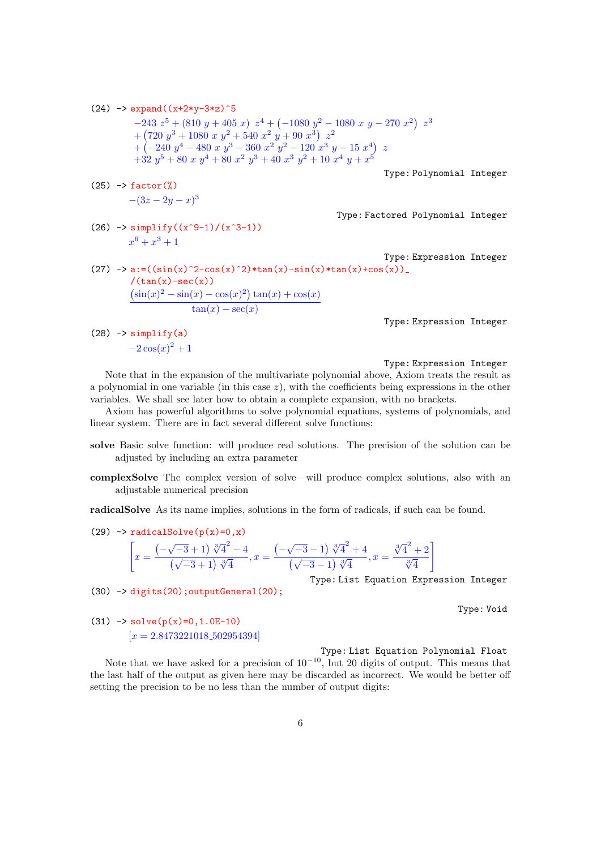(24) 
$$
\rightarrow
$$
 expand((x+2\*y-3\*z)^5  
\n-243  $z^5 + (810 y + 405 x) z^4 + (-1080 y^2 - 1080 x y - 270 x^2) z^3$   
\n+ (720  $y^3 + 1080 x y^2 + 540 x^2 y + 90 x^3) z^2$   
\n+ (-240  $y^4 - 480 x y^3 - 360 x^2 y^2 - 120 x^3 y - 15 x^4) z$   
\n+ 32  $y^5 + 80 x y^4 + 80 x^2 y^3 + 40 x^3 y^2 + 10 x^4 y + x^5$   
\nType: Polynomial Integer  
\n(25)  $\rightarrow$  factor (%)  
\n- (3z - 2y - x)<sup>3</sup>  
\n(26)  $\rightarrow$  simplify((x<sup>3</sup> - 1)/(x<sup>3</sup> - 1))  
\nx<sup>6</sup> + x<sup>3</sup> + 1  
\nType: Expression Integer  
\n(27)  $\rightarrow$  a: = ((sin(x)<sup>2</sup> - cos(x)<sup>2</sup>) \* tan(x)-sin(x)\*tan(x)+cos(x)).

Type: Expression Integer

 $(28)$  -> simplify $(a)$  $-2\cos(x)^2+1$ 

 $/(tan(x)-sec(x))$ 

 $(\sin(x)^2 - \sin(x) - \cos(x)^2) \tan(x) + \cos(x)$  $tan(x) - sec(x)$ 

#### Type: Expression Integer

Note that in the expansion of the multivariate polynomial above, Axiom treats the result as a polynomial in one variable (in this case  $z$ ), with the coefficients being expressions in the other variables. We shall see later how to obtain a complete expansion, with no brackets.

Axiom has powerful algorithms to solve polynomial equations, systems of polynomials, and linear system. There are in fact several different solve functions:

- solve Basic solve function: will produce real solutions. The precision of the solution can be adjusted by including an extra parameter
- complexSolve The complex version of solve—will produce complex solutions, also with an adjustable numerical precision

radicalSolve As its name implies, solutions in the form of radicals, if such can be found.

(29)  $\rightarrow$  radicalSolve(p(x)=0,x)

$$
\[x = \frac{\left(-\sqrt{-3}+1\right)\sqrt[3]{4}^2 - 4}{\left(\sqrt{-3}+1\right)\sqrt[3]{4}}, x = \frac{\left(-\sqrt{-3}-1\right)\sqrt[3]{4}^2 + 4}{\left(\sqrt{-3}-1\right)\sqrt[3]{4}}, x = \frac{\sqrt[3]{4}^2 + 2}{\sqrt[3]{4}}\]
$$

Type: List Equation Expression Integer

Type: Void

(31)  $\rightarrow$  solve(p(x)=0,1.0E-10)  $[x = 2.8473221018.502954394]$ 

 $(30)$   $\rightarrow$  digits $(20)$ ; outputGeneral $(20)$ ;

Type: List Equation Polynomial Float

Note that we have asked for a precision of  $10^{-10}$ , but 20 digits of output. This means that the last half of the output as given here may be discarded as incorrect. We would be better off setting the precision to be no less than the number of output digits: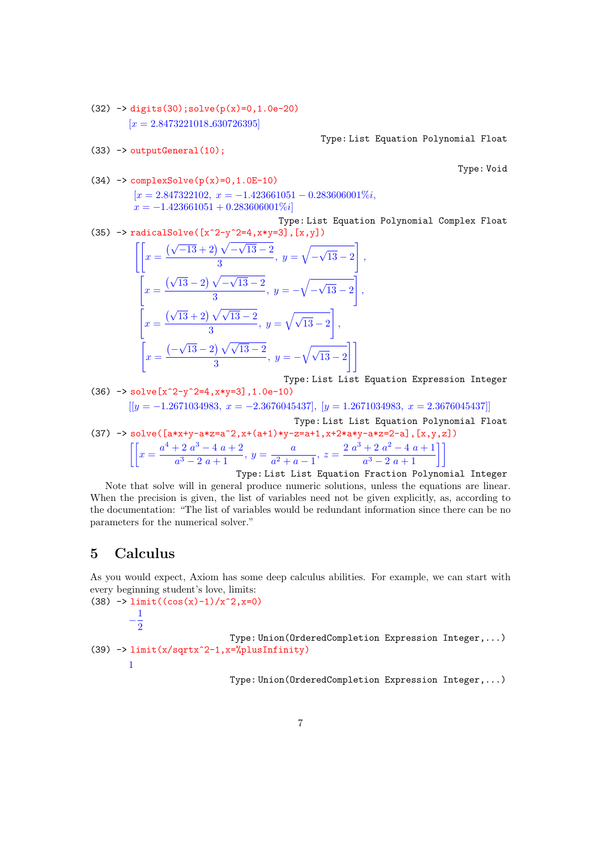$(32)$  -> digits(30);solve(p(x)=0,1.0e-20)  $[x = 2.8473221018.630726395]$ 

 $(36)$   $\rightarrow$  solve  $\sim$   $\sim$   $\sim$  0.0ed solve 3], 1.0e-

 $(33)$  -> outputGeneral $(10)$ :

Type: List Equation Polynomial Float

Type: Void

(34) 
$$
\rightarrow
$$
 complexSolve(p(x)=0, 1.0E-10)  
\n[x = 2.847322102, x = -1.423661051 - 0.283606001\%*i*,  
\nx = -1.423661051 + 0.283606001\%*i*]

Type: List Equation Polynomial Complex Float (35) -> radicalSolve( $[x^2-y^2=4, x*y=3]$ ,  $[x,y]$ )

$$
\left[\left[x = \frac{(\sqrt{-13} + 2) \sqrt{-\sqrt{13} - 2}}{3}, y = \sqrt{-\sqrt{13} - 2}\right],
$$
  

$$
\left[x = \frac{(\sqrt{13} - 2) \sqrt{-\sqrt{13} - 2}}{3}, y = -\sqrt{-\sqrt{13} - 2}\right],
$$
  

$$
\left[x = \frac{(\sqrt{13} + 2) \sqrt{\sqrt{13} - 2}}{3}, y = \sqrt{\sqrt{13} - 2}\right],
$$
  

$$
\left[x = \frac{(-\sqrt{13} - 2) \sqrt{\sqrt{13} - 2}}{3}, y = -\sqrt{\sqrt{13} - 2}\right]\right]
$$

Type: List List Equation Expression Integer

(37) 
$$
- > 801 \text{ve} \{x \ 2-y \ 2=4, x*y=3\}, 1.0e-10\}
$$
\n
$$
[[y = -1.2671034983, x = -2.3676045437], [y = 1.2671034983, x = 2.3676045437]]
$$
\n
$$
[y = -1.2671034983, x = -2.3676045437], [y = 1.2671034983, x = 2.3676045437]]
$$
\n
$$
[y = 1.2671034983, x = 2.3676045437]
$$
\n
$$
[y = 1.2671034983, x = 2.3676045437]
$$
\n
$$
[y = 1.2671034983, x = 2.3676045437]
$$
\n
$$
[y = 1.2671034983, x = 2.3676045437]
$$
\n
$$
[y = 1.2671034983, x = 2.3676045437]
$$
\n
$$
[y = 1.2671034983, x = 2.3676045437]
$$
\n
$$
[y = 1.2671034983, x = 2.3676045437]
$$
\n
$$
[y = 1.2671034983, x = 2.3676045437]
$$
\n
$$
[y = 1.2671034983, x = 2.3676045437]
$$
\n
$$
[y = 1.2671034983, x = 2.3676045437]
$$
\n
$$
[y = 1.2671034983, x = 2.3676045437]
$$
\n
$$
[y = 1.2671034983, x = 2.3676045437]
$$

Type: List List Equation Fraction Polynomial Integer Note that solve will in general produce numeric solutions, unless the equations are linear. When the precision is given, the list of variables need not be given explicitly, as, according to the documentation: "The list of variables would be redundant information since there can be no parameters for the numerical solver."

## 5 Calculus

As you would expect, Axiom has some deep calculus abilities. For example, we can start with every beginning student's love, limits:

```
(38) -> limit((cos(x)-1)/x^2, x=0)-\frac{1}{2}\overline{2}Type: Union(OrderedCompletion Expression Integer,...)
(39) \rightarrow limit(x/sqrtx^2-1,x=%plusInfinity)
        1
```
Type: Union(OrderedCompletion Expression Integer,...)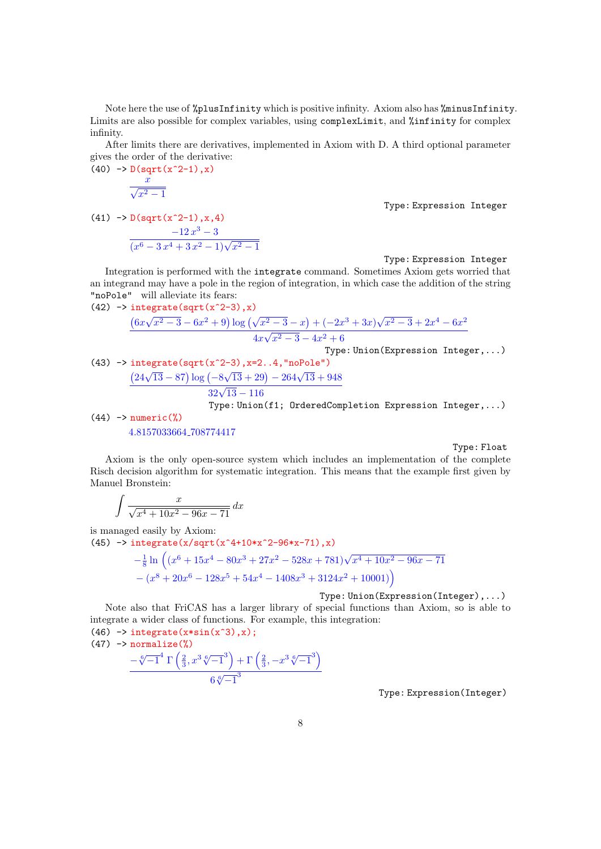Note here the use of %plusInfinity which is positive infinity. Axiom also has %minusInfinity. Limits are also possible for complex variables, using complexLimit, and %infinity for complex infinity.

After limits there are derivatives, implemented in Axiom with D. A third optional parameter gives the order of the derivative:  $(40)$  ->  $D(sqrt(x^2-1),x)$ 

$$
\frac{x}{\sqrt{x^2-1}}
$$

 $\hat{x}$ 

 $(41)$  ->  $D(sqrt(x^2-1),x,4)$ 

$$
\frac{-12\,x^3-3}{(x^6-3\,x^4+3\,x^2-1)\sqrt{x^2-1}}
$$

Type: Expression Integer

Type: Expression Integer

Integration is performed with the integrate command. Sometimes Axiom gets worried that an integrand may have a pole in the region of integration, in which case the addition of the string "noPole" will alleviate its fears:<br>(42)  $\rightarrow$  integrate(sqrt(x^2-3)

(42) 
$$
\rightarrow
$$
 integrate(sqrt(x^2-3), x)  
\n
$$
\frac{(6x\sqrt{x^2-3}-6x^2+9)\log(\sqrt{x^2-3}-x)+(-2x^3+3x)\sqrt{x^2-3}+2x^4-6x^2}{4x\sqrt{x^2-3}-4x^2+6}
$$
\nType: Union (Expression Integer, ...)

(43)  $\rightarrow$  integrate(sqrt(x^2-3), x=2..4, "noPole")  $(24\sqrt{13} - 87) \log (-8)$  $\sqrt{13} + 29$ ) – 264 $\sqrt{13} + 948$  $\frac{6 \sqrt{13} - 26}{32\sqrt{13} - 116}$ Type: Union(f1; OrderedCompletion Expression Integer,...)

 $(44)$  -> numeric $(\%)$ 4.8157033664 708774417

Type: Float

Axiom is the only open-source system which includes an implementation of the complete Risch decision algorithm for systematic integration. This means that the example first given by Manuel Bronstein:

$$
\int \frac{x}{\sqrt{x^4 + 10x^2 - 96x - 71}} \, dx
$$

is managed easily by Axiom:

(45)  $\rightarrow$  integrate(x/sqrt(x^4+10\*x^2-96\*x-71),x)

$$
-\frac{1}{8}\ln\left((x^6+15x^4-80x^3+27x^2-528x+781)\sqrt{x^4+10x^2-96x-71}\right)
$$

$$
-(x^8+20x^6-128x^5+54x^4-1408x^3+3124x^2+10001)\right)
$$

Type: Union(Expression(Integer),...)

Note also that FriCAS has a larger library of special functions than Axiom, so is able to integrate a wider class of functions. For example, this integration:

 $(46)$  -> integrate(x\*sin(x^3),x);  $(47)$  -> normalize $(\%)$  $-\sqrt[6]{-1}^4 \Gamma\left(\frac{2}{3}, x^3 \sqrt[6]{-1}^3\right) + \Gamma\left(\frac{2}{3}, -x^3 \sqrt[6]{-1}^3\right)$  $\frac{1}{6\sqrt[6]{-1}^3}$ 

Type: Expression(Integer)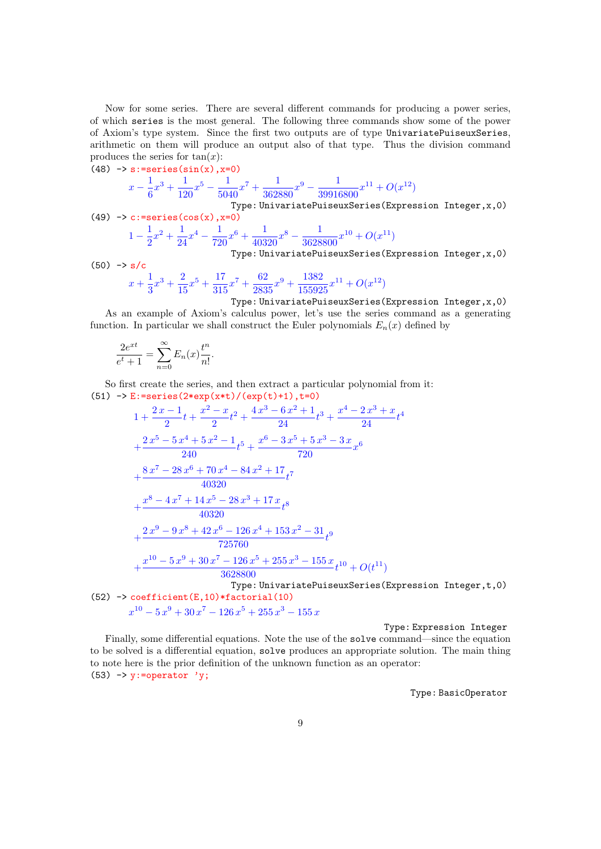Now for some series. There are several different commands for producing a power series, of which series is the most general. The following three commands show some of the power of Axiom's type system. Since the first two outputs are of type UnivariatePuiseuxSeries, arithmetic on them will produce an output also of that type. Thus the division command produces the series for  $tan(x)$ :

(48) 
$$
-b \text{ s:} = \text{series}(\sin(x), x=0)
$$
  
\n
$$
x - \frac{1}{6}x^3 + \frac{1}{120}x^5 - \frac{1}{5040}x^7 + \frac{1}{362880}x^9 - \frac{1}{39916800}x^{11} + O(x^{12})
$$
  
\nType: UnivariatePuiseuxSeries(Expression Integer, x, 0)  
\n(49) 
$$
-b \text{ c:} = \text{series}(\cos(x), x=0)
$$
  
\n
$$
1 - \frac{1}{2}x^2 + \frac{1}{24}x^4 - \frac{1}{720}x^6 + \frac{1}{40320}x^8 - \frac{1}{3628800}x^{10} + O(x^{11})
$$
  
\nType: UnivariatePuiseuxSeries(Expression Integer, x, 0)  
\n(50) 
$$
-b \text{ s/c}
$$

$$
x + \frac{1}{3}x^3 + \frac{2}{15}x^5 + \frac{17}{315}x^7 + \frac{62}{2835}x^9 + \frac{1382}{155925}x^{11} + O(x^{12})
$$

Type: UnivariatePuiseuxSeries(Expression Integer,x,0) As an example of Axiom's calculus power, let's use the series command as a generating function. In particular we shall construct the Euler polynomials  $E_n(x)$  defined by

$$
\frac{2e^{xt}}{e^t+1} = \sum_{n=0}^{\infty} E_n(x) \frac{t^n}{n!}.
$$

So first create the series, and then extract a particular polynomial from it: (51)  $\rightarrow$  E:=series(2\*exp(x\*t)/(exp(t)+1),t=0)

$$
1 + \frac{2x-1}{2}t + \frac{x^2-x}{2}t^2 + \frac{4x^3-6x^2+1}{24}t^3 + \frac{x^4-2x^3+x}{24}t^4
$$
  
+ 
$$
\frac{2x^5-5x^4+5x^2-1}{240}t^5 + \frac{x^6-3x^5+5x^3-3x}{720}x^6
$$
  
+ 
$$
\frac{8x^7-28x^6+70x^4-84x^2+17}{40320}t^7
$$
  
+ 
$$
\frac{x^8-4x^7+14x^5-28x^3+17x}{40320}t^8
$$
  
+ 
$$
\frac{2x^9-9x^8+42x^6-126x^4+153x^2-31}{725760}t^9
$$
  
+ 
$$
\frac{x^{10}-5x^9+30x^7-126x^5+255x^3-155x}{3628800}t^{10} + O(t^{11})
$$
  
Type: UnivariatePuiseuxSeries (Expression Integer, t, 0)  
(52)  $\rightarrow$  coefficient (E, 10)\*factorial (10)  

$$
x^{10}-5x^9+30x^7-126x^5+255x^3-155x
$$

Type: Expression Integer Finally, some differential equations. Note the use of the solve command—since the equation to be solved is a differential equation, solve produces an appropriate solution. The main thing to note here is the prior definition of the unknown function as an operator: (53)  $\rightarrow$  y:=operator 'y;

Type: BasicOperator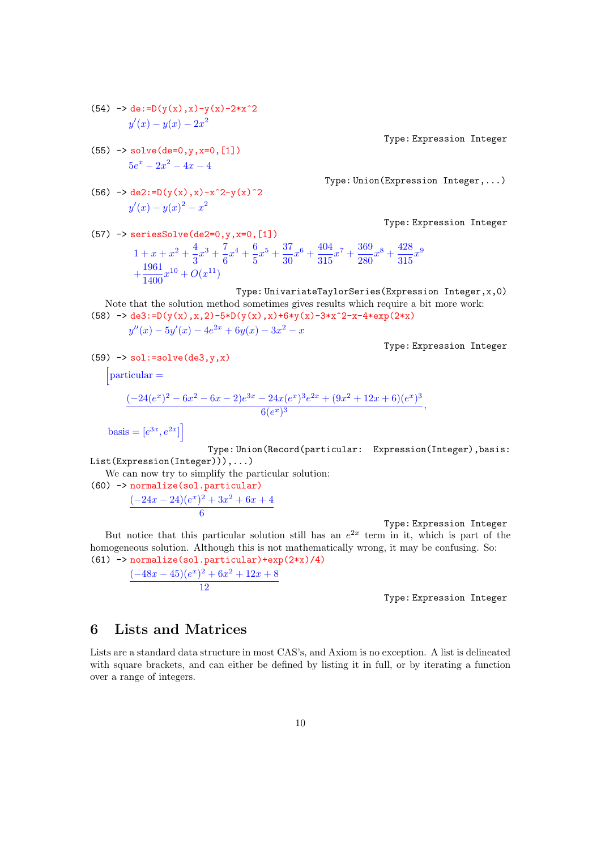(54) 
$$
\rightarrow
$$
 de :=D(y(x), x)-y(x)-2\*x<sup>2</sup>  

$$
y'(x) - y(x) - 2x^2
$$

 $(55)$  -> solve $(de=0, v, x=0, [1])$  $5e^x - 2x^2 - 4x - 4$ 

(56) 
$$
\rightarrow
$$
 de2:=D(y(x),x)-x^2-y(x)^2  

$$
y'(x) - y(x)^2 - x^2
$$

Type: Expression Integer

Type: Union(Expression Integer,...)

Type: Expression Integer

 $(57)$  -> seriesSolve(de2=0, y, x=0, [1])  $1 + x + x^2 + \frac{4}{2}$  $\frac{4}{3}x^3 + \frac{7}{6}$  $\frac{7}{6}x^4 + \frac{6}{5}$  $\frac{6}{5}x^5 + \frac{37}{30}$  $\frac{37}{30}x^6 + \frac{404}{315}$  $\frac{404}{315}x^7 + \frac{369}{280}$  $\frac{369}{280}x^8 + \frac{428}{315}$  $\frac{420}{315}x^9$  $+\frac{1961}{1400}$  $\frac{1901}{1400}x^{10} + O(x^{11})$ 

Type: UnivariateTaylorSeries(Expression Integer,x,0)

Note that the solution method sometimes gives results which require a bit more work:\n
$$
50 \div 10 = 2 \div (1) = 2 \div (1) = 2 \div (1) = 2 \div (1)
$$

(58) 
$$
\rightarrow
$$
 de3:=D(y(x), x, 2)-5\*D(y(x), x)+6\*y(x)-3\*x^2-x-4\*exp(2\*x)  
\n
$$
y''(x) - 5y'(x) - 4e^{2x} + 6y(x) - 3x^2 - x
$$

Type: Expression Integer

$$
(59) \rightarrow sol:=solve(de3,y,x)
$$

 $\int$ particular =

$$
\frac{(-24(e^x)^2 - 6x^2 - 6x - 2)e^{3x} - 24x(e^x)^3e^{2x} + (9x^2 + 12x + 6)(e^x)^3}{6(e^x)^3},
$$

basis =  $[e^{3x}, e^{2x}]$ 

Type: Union(Record(particular: Expression(Integer),basis: List(Expression(Integer))),...)

We can now try to simplify the particular solution:

(60) -> normalize(sol.particular)  $(-24x-24)(e^x)^2+3x^2+6x+4$ 6

Type: Expression Integer

But notice that this particular solution still has an  $e^{2x}$  term in it, which is part of the homogeneous solution. Although this is not mathematically wrong, it may be confusing. So:  $(61)$  -> normalize(sol.particular)+exp(2\*x)/4)

 $(-48x-45)(e^x)^2+6x^2+12x+8$ 12

Type: Expression Integer

# 6 Lists and Matrices

Lists are a standard data structure in most CAS's, and Axiom is no exception. A list is delineated with square brackets, and can either be defined by listing it in full, or by iterating a function over a range of integers.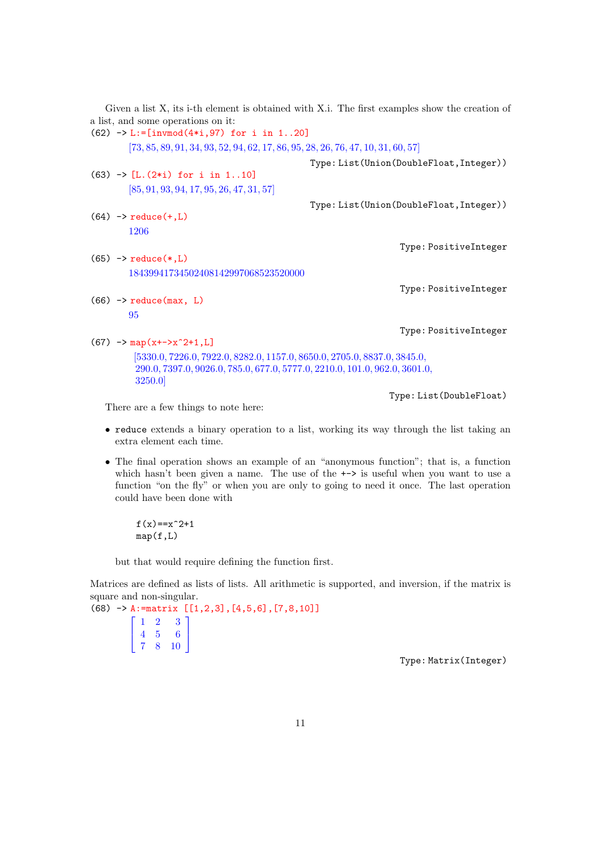|                                                                                                                                                                  | Given a list X, its i-th element is obtained with X.i. The first examples show the creation of |
|------------------------------------------------------------------------------------------------------------------------------------------------------------------|------------------------------------------------------------------------------------------------|
| a list, and some operations on it:                                                                                                                               |                                                                                                |
| $(62)$ -> L:=[invmod(4*i,97) for i in 120]                                                                                                                       |                                                                                                |
| $[73, 85, 89, 91, 34, 93, 52, 94, 62, 17, 86, 95, 28, 26, 76, 47, 10, 31, 60, 57]$                                                                               |                                                                                                |
|                                                                                                                                                                  | Type: List(Union(DoubleFloat, Integer))                                                        |
| $(63)$ -> [L. $(2*i)$ for i in 110]                                                                                                                              |                                                                                                |
| $[85, 91, 93, 94, 17, 95, 26, 47, 31, 57]$                                                                                                                       |                                                                                                |
|                                                                                                                                                                  | Type: List(Union(DoubleFloat, Integer))                                                        |
| $(64)$ -> reduce $(+, L)$                                                                                                                                        |                                                                                                |
| 1206                                                                                                                                                             |                                                                                                |
|                                                                                                                                                                  | Type: PositiveInteger                                                                          |
| $(65)$ -> reduce $(*,L)$                                                                                                                                         |                                                                                                |
| 18439941734502408142997068523520000                                                                                                                              |                                                                                                |
|                                                                                                                                                                  | Type: PositiveInteger                                                                          |
| $(66)$ -> reduce (max, L)                                                                                                                                        |                                                                                                |
| 95                                                                                                                                                               |                                                                                                |
|                                                                                                                                                                  | Type: PositiveInteger                                                                          |
| $(67)$ -> map(x+->x <sup>2+1</sup> ,L)                                                                                                                           |                                                                                                |
| [5330.0, 7226.0, 7922.0, 8282.0, 1157.0, 8650.0, 2705.0, 8837.0, 3845.0,<br>290.0, 7397.0, 9026.0, 785.0, 677.0, 5777.0, 2210.0, 101.0, 962.0, 3601.0,<br>3250.0 |                                                                                                |
|                                                                                                                                                                  | Type: List(DoubleFloat)                                                                        |

There are a few things to note here:

- reduce extends a binary operation to a list, working its way through the list taking an extra element each time.
- The final operation shows an example of an "anonymous function"; that is, a function which hasn't been given a name. The use of the  $\rightarrow$  is useful when you want to use a function "on the fly" or when you are only to going to need it once. The last operation could have been done with

 $f(x) = x^2 + 1$  $map(f,L)$ 

but that would require defining the function first.

Matrices are defined as lists of lists. All arithmetic is supported, and inversion, if the matrix is square and non-singular.

(68) -> A:=matrix [[1,2,3],[4,5,6],[7,8,10]]  $\lceil$  $\overline{\phantom{a}}$ 1 2 3 4 5 6 7 8 10 1  $\mathbf{I}$ 

Type: Matrix(Integer)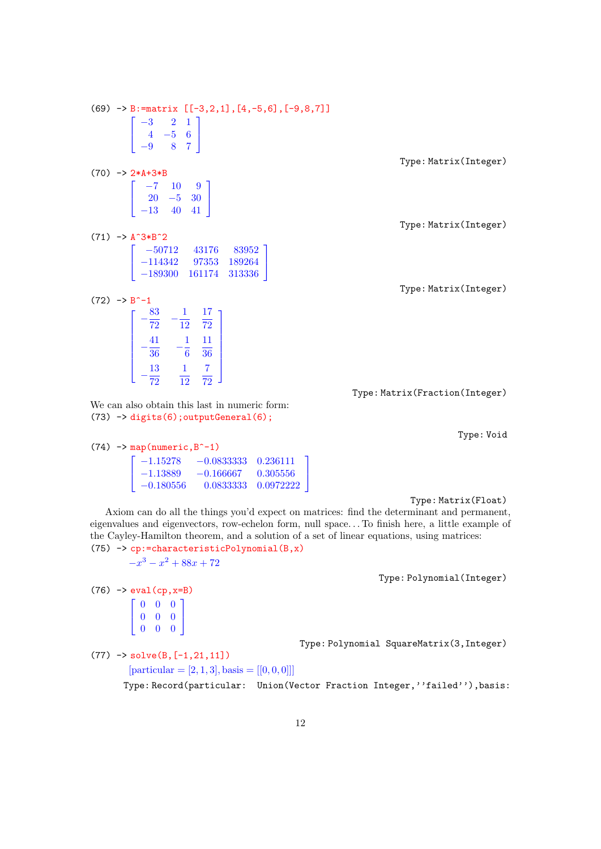$(69)$  -> B:=matrix  $[[-3,2,1], [4,-5,6], [-9,8,7]]$  $\lceil$  $\overline{\phantom{a}}$ −3 2 1 4 −5 6 −9 8 7 1  $\mathsf{I}$ Type: Matrix(Integer)  $(70)$  ->  $2*A+3*B$  $\lceil$  $\overline{\phantom{a}}$ −7 10 9 20 −5 30 −13 40 41 1  $\mathsf{I}$ Type: Matrix(Integer)  $(71)$  -> A<sup>2</sup>3\*B<sup>2</sup>2  $\sqrt{ }$  $\overline{\phantom{a}}$ −50712 43176 83952 −114342 97353 189264 −189300 161174 313336 1  $\overline{1}$ Type: Matrix(Integer)  $(72)$  -> B<sup> $-1$ </sup>  $\lceil$   $-\frac{83}{52}$  $\frac{83}{72}$   $-\frac{1}{12}$ 12 17 72  $-\frac{41}{20}$  $rac{41}{36}$   $-\frac{1}{6}$ 6 11 36  $-\frac{13}{52}$ 72 1 12 7 72 1  $\begin{array}{c} \hline \end{array}$ Type: Matrix(Fraction(Integer) We can also obtain this last in numeric form:  $(73)$   $\rightarrow$  digits(6); outputGeneral(6);

Type: Void

| $(74)$ -> map(numeric, B <sup><math>-1</math></sup> ) |            |                                                                  |  |  |  |  |  |  |
|-------------------------------------------------------|------------|------------------------------------------------------------------|--|--|--|--|--|--|
|                                                       |            | $\begin{bmatrix} -1.15278 & -0.0833333 & 0.236111 \end{bmatrix}$ |  |  |  |  |  |  |
|                                                       | $-1.13889$ | $-0.166667$ 0.305556                                             |  |  |  |  |  |  |
|                                                       |            | $\vert -0.180556 \vert -0.0833333 \vert 0.0972222 \vert$         |  |  |  |  |  |  |

Type: Matrix(Float)

Axiom can do all the things you'd expect on matrices: find the determinant and permanent, eigenvalues and eigenvectors, row-echelon form, null space. . . To finish here, a little example of the Cayley-Hamilton theorem, and a solution of a set of linear equations, using matrices:  $(75)$  -> cp:=characteristicPolynomial $(B, x)$ 

1  $\overline{1}$ 

 $-x^3 - x^2 + 88x + 72$ 

Type: Polynomial(Integer)

 $(76)$  -> eval(cp, x=B)  $\sqrt{ }$  $\overline{\phantom{a}}$ 0 0 0 0 0 0 0 0 0 1  $\overline{\phantom{a}}$ 

Type: Polynomial SquareMatrix(3,Integer)

 $(77)$  -> solve $(B, [-1, 21, 11])$  $[particular = [2, 1, 3], basis = [[0, 0, 0]]]$ 

Type: Record(particular: Union(Vector Fraction Integer,''failed''),basis: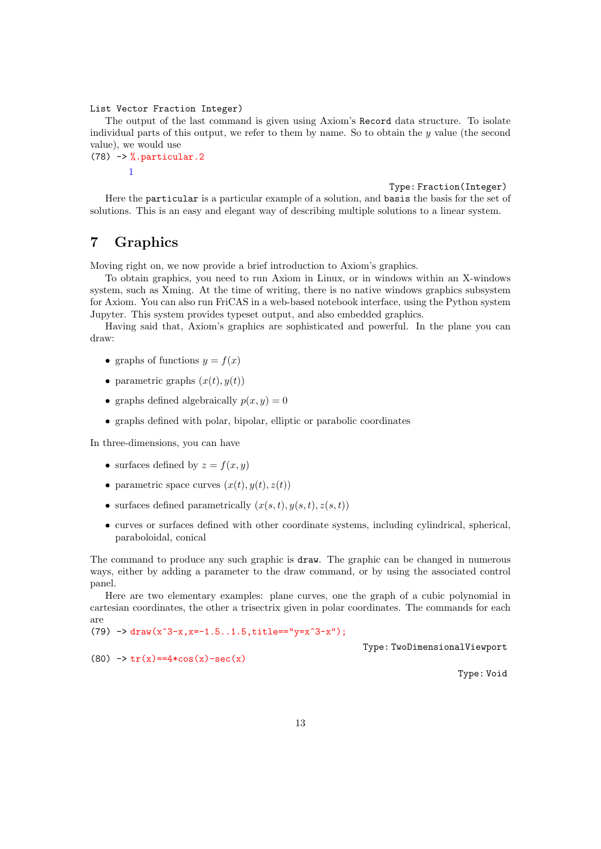List Vector Fraction Integer)

The output of the last command is given using Axiom's Record data structure. To isolate individual parts of this output, we refer to them by name. So to obtain the  $y$  value (the second value), we would use

#### $(78)$  -> %.particular.2 1

Type: Fraction(Integer)

Here the particular is a particular example of a solution, and basis the basis for the set of solutions. This is an easy and elegant way of describing multiple solutions to a linear system.

# 7 Graphics

Moving right on, we now provide a brief introduction to Axiom's graphics.

To obtain graphics, you need to run Axiom in Linux, or in windows within an X-windows system, such as Xming. At the time of writing, there is no native windows graphics subsystem for Axiom. You can also run FriCAS in a web-based notebook interface, using the Python system Jupyter. This system provides typeset output, and also embedded graphics.

Having said that, Axiom's graphics are sophisticated and powerful. In the plane you can draw:

- graphs of functions  $y = f(x)$
- parametric graphs  $(x(t), y(t))$
- graphs defined algebraically  $p(x, y) = 0$
- graphs defined with polar, bipolar, elliptic or parabolic coordinates

In three-dimensions, you can have

- surfaces defined by  $z = f(x, y)$
- parametric space curves  $(x(t), y(t), z(t))$
- surfaces defined parametrically  $(x(s,t), y(s,t), z(s,t))$
- curves or surfaces defined with other coordinate systems, including cylindrical, spherical, paraboloidal, conical

The command to produce any such graphic is draw. The graphic can be changed in numerous ways, either by adding a parameter to the draw command, or by using the associated control panel.

Here are two elementary examples: plane curves, one the graph of a cubic polynomial in cartesian coordinates, the other a trisectrix given in polar coordinates. The commands for each are

 $(79)$  -> draw(x^3-x,x=-1.5..1.5,title=="y=x^3-x");

Type: TwoDimensionalViewport

(80)  $\rightarrow \text{tr}(x) = 4 * \cos(x) - \sec(x)$ 

Type: Void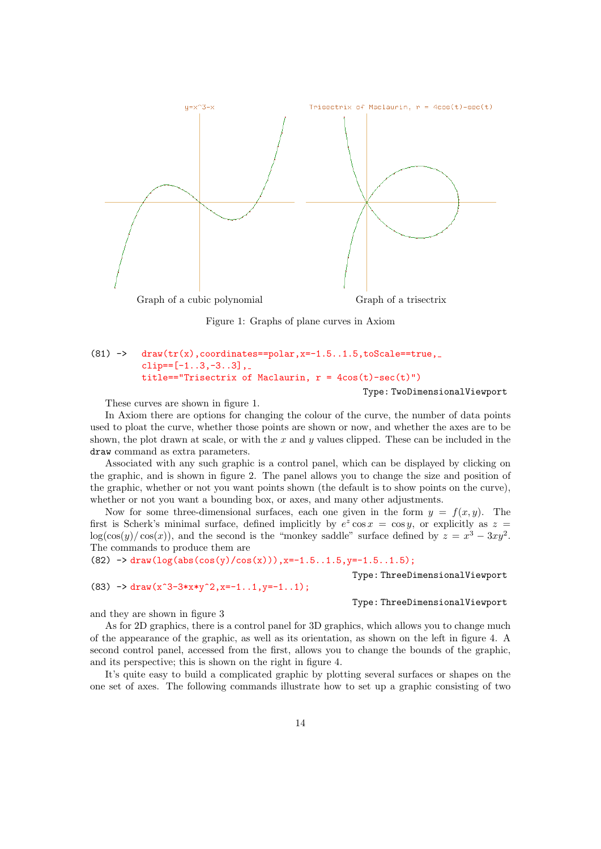

Figure 1: Graphs of plane curves in Axiom

### $(81)$  -> draw(tr(x),coordinates==polar, x=-1.5..1.5,toScale==true, clip== $[-1..3,-3..3]$ , title=="Trisectrix of Maclaurin,  $r = 4cos(t) - sec(t)$ ")

Type: TwoDimensionalViewport

These curves are shown in figure 1.

In Axiom there are options for changing the colour of the curve, the number of data points used to ploat the curve, whether those points are shown or now, and whether the axes are to be shown, the plot drawn at scale, or with the  $x$  and  $y$  values clipped. These can be included in the draw command as extra parameters.

Associated with any such graphic is a control panel, which can be displayed by clicking on the graphic, and is shown in figure 2. The panel allows you to change the size and position of the graphic, whether or not you want points shown (the default is to show points on the curve), whether or not you want a bounding box, or axes, and many other adjustments.

Now for some three-dimensional surfaces, each one given in the form  $y = f(x, y)$ . The first is Scherk's minimal surface, defined implicitly by  $e^z \cos x = \cos y$ , or explicitly as  $z =$  $\log(\cos(y)/\cos(x))$ , and the second is the "monkey saddle" surface defined by  $z = x^3 - 3xy^2$ . The commands to produce them are

(82)  $\rightarrow$  draw(log(abs(cos(y)/cos(x))), x=-1.5..1.5, y=-1.5..1.5);

Type: ThreeDimensionalViewport

(83)  $\rightarrow$  draw(x<sup>-</sup>3-3\*x\*y<sup>-</sup>2, x=-1..1, y=-1..1);

Type: ThreeDimensionalViewport

and they are shown in figure 3

As for 2D graphics, there is a control panel for 3D graphics, which allows you to change much of the appearance of the graphic, as well as its orientation, as shown on the left in figure 4. A second control panel, accessed from the first, allows you to change the bounds of the graphic, and its perspective; this is shown on the right in figure 4.

It's quite easy to build a complicated graphic by plotting several surfaces or shapes on the one set of axes. The following commands illustrate how to set up a graphic consisting of two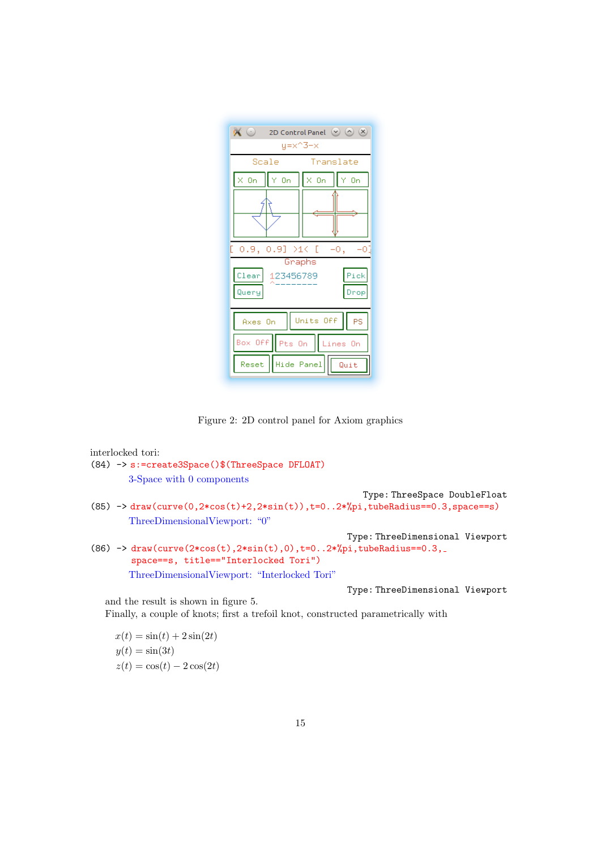

Figure 2: 2D control panel for Axiom graphics

```
interlocked tori:
(84) -> s:=create3Space()$(ThreeSpace DFLOAT)
        3-Space with 0 components
                                                          Type: ThreeSpace DoubleFloat
(85) \rightarrow draw(curve(0,2*cos(t)+2,2*sin(t)),t=0..2*%pi,tubeRadius==0.3,space==s)
        ThreeDimensionalViewport: "0"
                                                      Type: ThreeDimensional Viewport
(86) \rightarrow draw(curve(2*cos(t),2*sin(t),0),t=0..2*%pi,tubeRadius==0.3,
        space==s, title=="Interlocked Tori")
        ThreeDimensionalViewport: "Interlocked Tori"
                                                      Type: ThreeDimensional Viewport
   and the result is shown in figure 5.
   Finally, a couple of knots; first a trefoil knot, constructed parametrically with
     x(t) = \sin(t) + 2\sin(2t)
```

```
y(t) = \sin(3t)z(t) = \cos(t) - 2\cos(2t)
```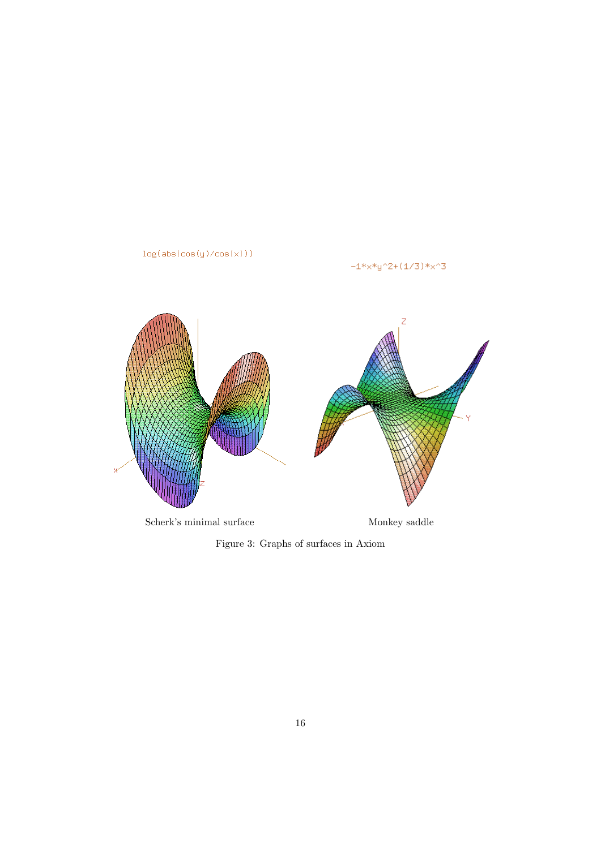

 $\begin{minipage}{.4\linewidth} \textbf{Scherk's minimal surface} & \textbf{Monkey saddle} \end{minipage}$ 

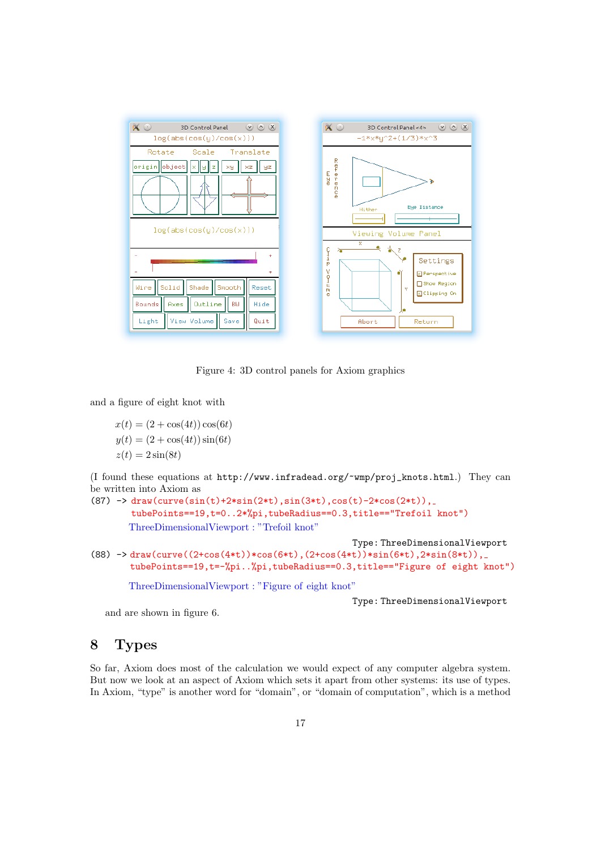

Figure 4: 3D control panels for Axiom graphics

and a figure of eight knot with

 $x(t) = (2 + \cos(4t)) \cos(6t)$  $y(t) = (2 + \cos(4t)) \sin(6t)$  $z(t) = 2\sin(8t)$ 

(I found these equations at http://www.infradead.org/~wmp/proj\_knots.html.) They can be written into Axiom as

```
(87) -> draw(curve(sin(t)+2*sin(2*t),sin(3*t),cos(t)-2*cos(2*t)),
        tubePoints==19,t=0..2*%pi,tubeRadius==0.3,title=="Trefoil knot")
       ThreeDimensionalViewport : "Trefoil knot"
```

```
Type: ThreeDimensionalViewport
```

```
(88) -> draw(curve((2+\cos(4*t))*\cos(6*t), (2+\cos(4*t))*\sin(6*t), 2*sin(8*t)),tubePoints==19,t=-%pi..%pi,tubeRadius==0.3,title=="Figure of eight knot")
```
ThreeDimensionalViewport : "Figure of eight knot"

Type: ThreeDimensionalViewport

and are shown in figure 6.

# 8 Types

So far, Axiom does most of the calculation we would expect of any computer algebra system. But now we look at an aspect of Axiom which sets it apart from other systems: its use of types. In Axiom, "type" is another word for "domain", or "domain of computation", which is a method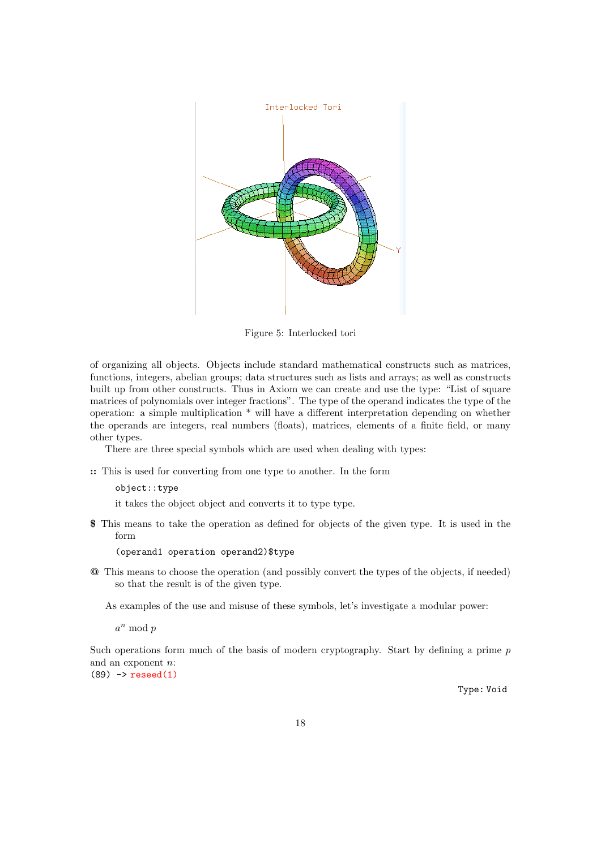

Figure 5: Interlocked tori

of organizing all objects. Objects include standard mathematical constructs such as matrices, functions, integers, abelian groups; data structures such as lists and arrays; as well as constructs built up from other constructs. Thus in Axiom we can create and use the type: "List of square matrices of polynomials over integer fractions". The type of the operand indicates the type of the operation: a simple multiplication \* will have a different interpretation depending on whether the operands are integers, real numbers (floats), matrices, elements of a finite field, or many other types.

There are three special symbols which are used when dealing with types:

:: This is used for converting from one type to another. In the form

#### object::type

it takes the object object and converts it to type type.

\$ This means to take the operation as defined for objects of the given type. It is used in the form

#### (operand1 operation operand2)\$type

@ This means to choose the operation (and possibly convert the types of the objects, if needed) so that the result is of the given type.

As examples of the use and misuse of these symbols, let's investigate a modular power:

 $a^n \bmod p$ 

Such operations form much of the basis of modern cryptography. Start by defining a prime  $p$ and an exponent n:  $(89)$  -> reseed $(1)$ 

Type: Void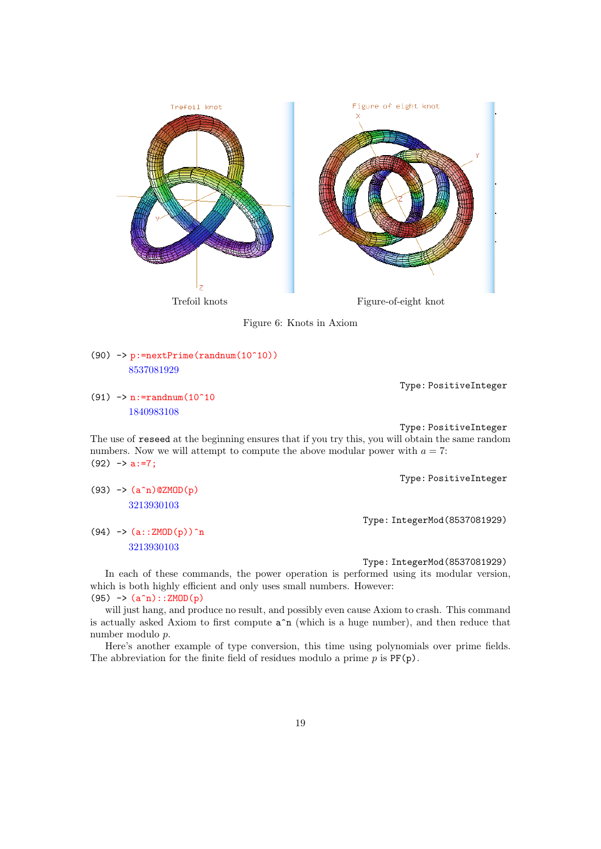



(90)  $\rightarrow$  p:=nextPrime(randnum(10^10)) 8537081929

Type: PositiveInteger

(91)  $\rightarrow$  n:=randnum(10^10 1840983108

 $(93)$  ->  $(a^n n)$  @ZMOD(p) 3213930103

 $(94)$  ->  $(a::ZMOD(p))^n$ 3213930103

Type: PositiveInteger

The use of reseed at the beginning ensures that if you try this, you will obtain the same random numbers. Now we will attempt to compute the above modular power with  $a = 7$ :  $(92)$  -> a:=7;

Type: PositiveInteger

Type: IntegerMod(8537081929)

Type: IntegerMod(8537081929)

In each of these commands, the power operation is performed using its modular version, which is both highly efficient and only uses small numbers. However:  $(95)$  ->  $(a^n n)$ :  $ZMOD(p)$ 

will just hang, and produce no result, and possibly even cause Axiom to crash. This command is actually asked Axiom to first compute  $a^n$  (which is a huge number), and then reduce that number modulo p.

Here's another example of type conversion, this time using polynomials over prime fields. The abbreviation for the finite field of residues modulo a prime  $p$  is  $PF(p)$ .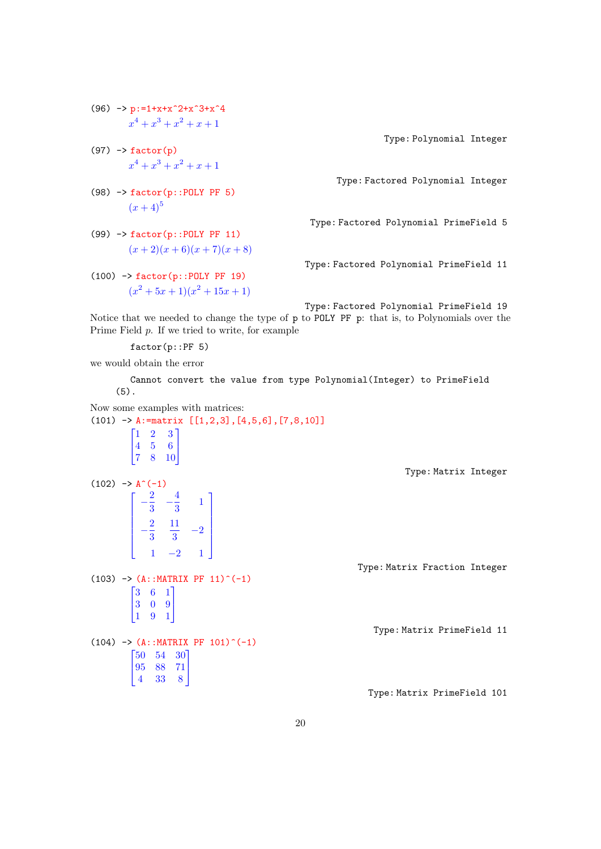- (96)  $\rightarrow$  p:=1+x+x<sup>2</sup>+x<sup>2</sup>+x<sup>2</sup>+x<sup>2</sup>  $x^4 + x^3 + x^2 + x + 1$
- $(97)$  -> factor(p)  $x^4 + x^3 + x^2 + x + 1$
- (98)  $\rightarrow$  factor(p::POLY PF 5)  $(x+4)^5$
- (99) -> factor(p::POLY PF 11)  $(x + 2)(x + 6)(x + 7)(x + 8)$
- (100) -> factor(p::POLY PF 19)  $(x^{2} + 5x + 1)(x^{2} + 15x + 1)$

Type: Polynomial Integer

Type: Factored Polynomial Integer

Type: Factored Polynomial PrimeField 5

Type: Factored Polynomial PrimeField 11

Type: Factored Polynomial PrimeField 19 Notice that we needed to change the type of p to POLY PF p: that is, to Polynomials over the Prime Field p. If we tried to write, for example

factor(p::PF 5)

we would obtain the error

Cannot convert the value from type Polynomial(Integer) to PrimeField (5).

Now some examples with matrices:  
\n(101) 
$$
\rightarrow
$$
 A: =matrix [[1,2,3],[4,5,6],[7,8,10]]  
\n
$$
\begin{bmatrix}\n1 & 2 & 3 \\
4 & 5 & 6 \\
7 & 8 & 10\n\end{bmatrix}
$$
\nType: Matrix Integer  
\n(102)  $\rightarrow$  A<sup>(-1)</sup>  
\n
$$
\begin{bmatrix}\n- \frac{2}{3} & - \frac{4}{3} & 1 \\
- \frac{2}{3} & \frac{11}{3} & -2 \\
1 & -2 & 1\n\end{bmatrix}
$$
\nType: Matrix Fraction Integer  
\n(103)  $\rightarrow$  (A: :MATRIX PF 11)<sup>(-1)</sup>  
\n
$$
\begin{bmatrix}\n3 & 6 & 1 \\
3 & 0 & 9 \\
1 & 9 & 1\n\end{bmatrix}
$$
\nType: Matrix Fraction Integer  
\n(104)  $\rightarrow$  (A: :MATRIX PF 101)<sup>(-1)</sup>  
\n
$$
\begin{bmatrix}\n50 & 54 & 30 \\
95 & 88 & 71 \\
4 & 33 & 8\n\end{bmatrix}
$$
\nType: Matrix PrimeField 101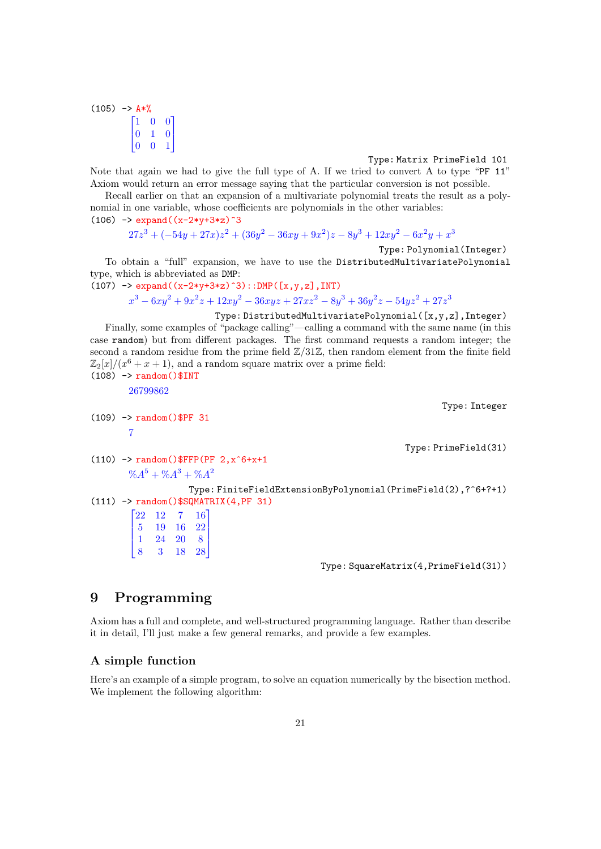$(105)$  ->  $A*$ %  $\sqrt{ }$  $\overline{\phantom{a}}$ 1 0 0 0 1 0 0 0 1 1  $\mathbf{I}$ 

### Type: Matrix PrimeField 101

Note that again we had to give the full type of A. If we tried to convert A to type "PF 11" Axiom would return an error message saying that the particular conversion is not possible.

Recall earlier on that an expansion of a multivariate polynomial treats the result as a polynomial in one variable, whose coefficients are polynomials in the other variables:

```
(106) -> expand((x-2*y+3*z)^3
```

```
27z^3 + (-54y + 27x)z^2 + (36y^2 - 36xy + 9x^2)z - 8y^3 + 12xy^2 - 6x^2y + x^3
```
Type: Polynomial(Integer)

To obtain a "full" expansion, we have to use the DistributedMultivariatePolynomial type, which is abbreviated as DMP:

```
(107) -> expand((x-2*y+3*z)^3)::DMP([x,y,z],INT)x^3 - 6xy^2 + 9x^2z + 12xy^2 - 36xyz + 27xz^2 - 8y^3 + 36y^2z - 54yz^2 + 27z^3
```

```
Type: DistributedMultivariatePolynomial([x,y,z],Integer)
   Finally, some examples of "package calling"—calling a command with the same name (in this
case random) but from different packages. The first command requests a random integer; the
second a random residue from the prime field \mathbb{Z}/31\mathbb{Z}, then random element from the finite field
\mathbb{Z}_2[x]/(x^6+x+1), and a random square matrix over a prime field:
(108) -> random()$INT
        26799862
                                                                                 Type: Integer
(109) -> random()$PF 31
        7
                                                                        Type: PrimeField(31)
(110) -> random()$FFP(PF 2, x^6+x+1\%A^5 + \%A^3 + \%A^2Type: FiniteFieldExtensionByPolynomial(PrimeField(2),?^6+?+1)
(111) -> random()$SQMATRIX(4,PF 31)
         \sqrt{ }\begin{array}{c} \hline \end{array}22 12 7 16
           5 19 16 22
           1 24 20 8
           8 3 18 28
                          1
                          \overline{\phantom{a}}Type: SquareMatrix(4,PrimeField(31))
```
# 9 Programming

Axiom has a full and complete, and well-structured programming language. Rather than describe it in detail, I'll just make a few general remarks, and provide a few examples.

## A simple function

Here's an example of a simple program, to solve an equation numerically by the bisection method. We implement the following algorithm: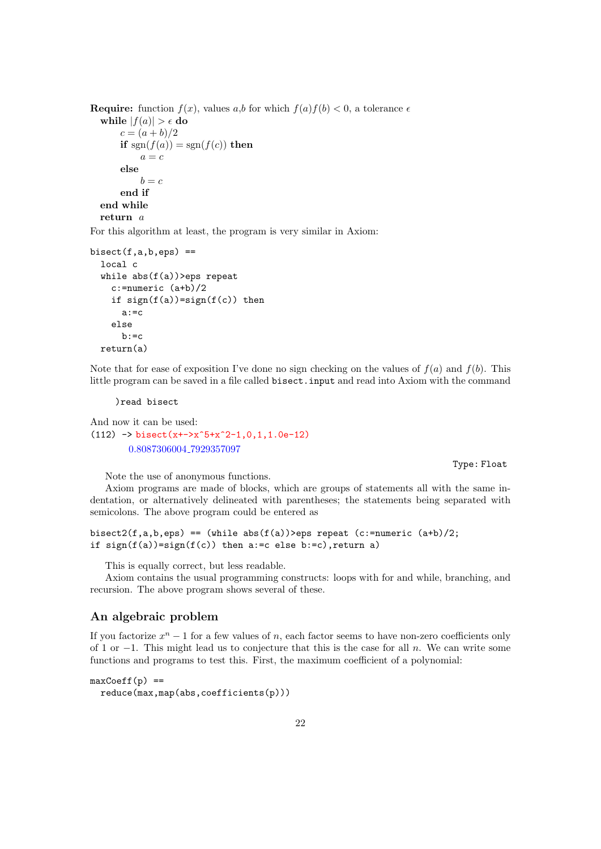```
Require: function f(x), values a,b for which f(a)f(b) < 0, a tolerance \epsilonwhile |f(a)| > \epsilon do
       c = (a + b)/2if sgn(f(a)) = sgn(f(c)) then
           a = celse
           b = cend if
  end while
  return a
```
For this algorithm at least, the program is very similar in Axiom:

```
bisect(f.a.b.eps) =local c
  while abs(f(a))>eps repeat
    c:=numeric (a+b)/2
    if sign(f(a))=sign(f(c)) then
      a:=c
    else
      b:=creturn(a)
```
Note that for ease of exposition I've done no sign checking on the values of  $f(a)$  and  $f(b)$ . This little program can be saved in a file called bisect.input and read into Axiom with the command

)read bisect

And now it can be used:  $(112)$  -> bisect(x+->x^5+x^2-1,0,1,1.0e-12) 0.8087306004 7929357097

Note the use of anonymous functions.

Type: Float

Axiom programs are made of blocks, which are groups of statements all with the same indentation, or alternatively delineated with parentheses; the statements being separated with semicolons. The above program could be entered as

```
bisect2(f,a,b,eps) == (while abs(f(a))>eps repeat (c:=numeric (a+b)/2;
if sign(f(a))=sign(f(c)) then a:=c else b:=c), return a)
```
This is equally correct, but less readable.

Axiom contains the usual programming constructs: loops with for and while, branching, and recursion. The above program shows several of these.

### An algebraic problem

If you factorize  $x^n - 1$  for a few values of n, each factor seems to have non-zero coefficients only of 1 or  $-1$ . This might lead us to conjecture that this is the case for all n. We can write some functions and programs to test this. First, the maximum coefficient of a polynomial:

```
maxCoeff(p) ==reduce(max,map(abs,coefficients(p)))
```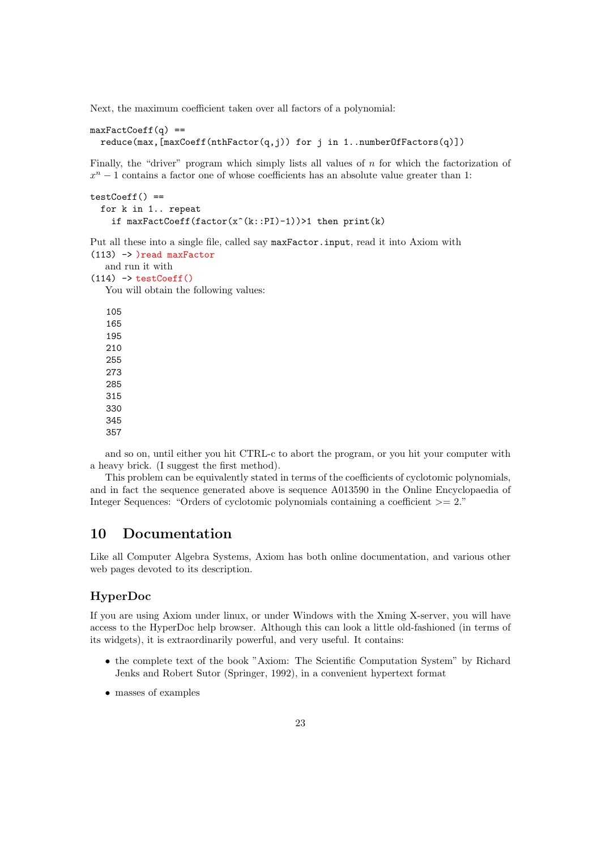Next, the maximum coefficient taken over all factors of a polynomial:

```
maxFactCoeff(G) ==reduce(max,[maxCoeff(nthFactor(q,j)) for j in 1..numberOfFactors(q)])
```
Finally, the "driver" program which simply lists all values of n for which the factorization of  $x<sup>n</sup> - 1$  contains a factor one of whose coefficients has an absolute value greater than 1:

```
testCoeff() ==for k in 1.. repeat
    if maxFactCoeff(factor(x^*(k::PI)-1))>1 then print(k)
```
Put all these into a single file, called say maxFactor.input, read it into Axiom with (113) -> )read maxFactor and run it with  $(114)$  -> testCoeff() You will obtain the following values: 105 165 195 210 255 273 285 315 330 345 357

and so on, until either you hit CTRL-c to abort the program, or you hit your computer with a heavy brick. (I suggest the first method).

This problem can be equivalently stated in terms of the coefficients of cyclotomic polynomials, and in fact the sequence generated above is sequence A013590 in the Online Encyclopaedia of Integer Sequences: "Orders of cyclotomic polynomials containing a coefficient  $\geq$ = 2."

## 10 Documentation

Like all Computer Algebra Systems, Axiom has both online documentation, and various other web pages devoted to its description.

## HyperDoc

If you are using Axiom under linux, or under Windows with the Xming X-server, you will have access to the HyperDoc help browser. Although this can look a little old-fashioned (in terms of its widgets), it is extraordinarily powerful, and very useful. It contains:

- the complete text of the book "Axiom: The Scientific Computation System" by Richard Jenks and Robert Sutor (Springer, 1992), in a convenient hypertext format
- masses of examples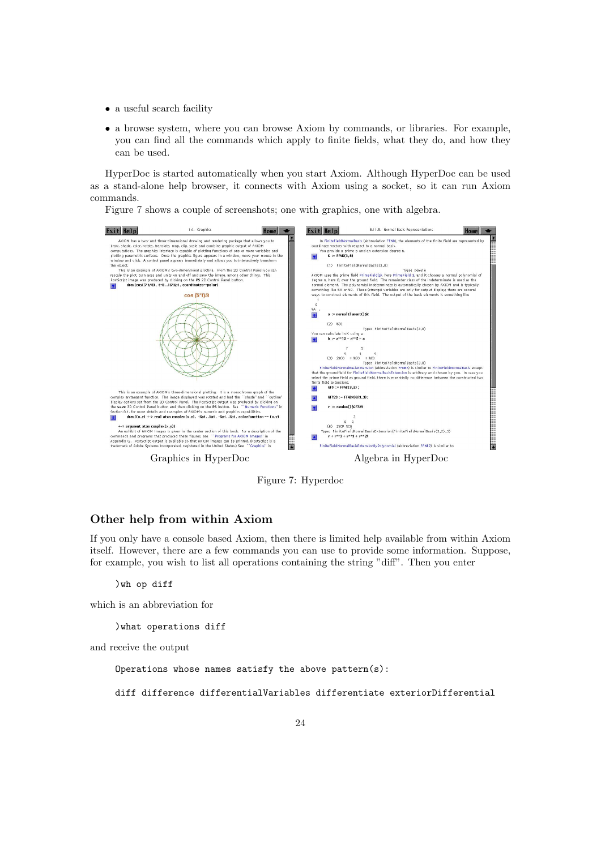- a useful search facility
- a browse system, where you can browse Axiom by commands, or libraries. For example, you can find all the commands which apply to finite fields, what they do, and how they can be used.

HyperDoc is started automatically when you start Axiom. Although HyperDoc can be used as a stand-alone help browser, it connects with Axiom using a socket, so it can run Axiom commands.

Figure 7 shows a couple of screenshots; one with graphics, one with algebra.



Figure 7: Hyperdoc

### Other help from within Axiom

If you only have a console based Axiom, then there is limited help available from within Axiom itself. However, there are a few commands you can use to provide some information. Suppose, for example, you wish to list all operations containing the string "diff". Then you enter

)wh op diff

which is an abbreviation for

)what operations diff

and receive the output

Operations whose names satisfy the above pattern(s):

diff difference differentialVariables differentiate exteriorDifferential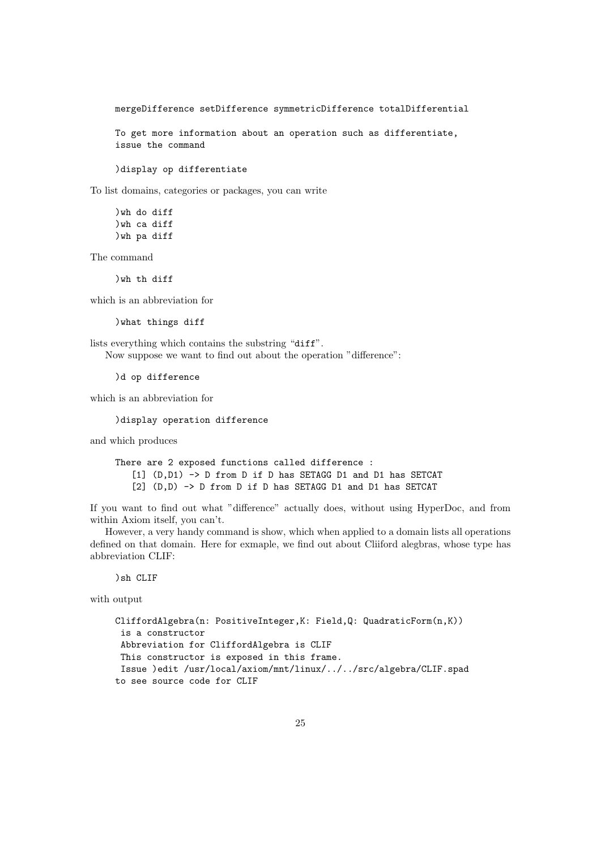mergeDifference setDifference symmetricDifference totalDifferential

To get more information about an operation such as differentiate, issue the command

)display op differentiate

To list domains, categories or packages, you can write

)wh do diff )wh ca diff )wh pa diff

The command

)wh th diff

which is an abbreviation for

)what things diff

lists everything which contains the substring "diff". Now suppose we want to find out about the operation "difference":

)d op difference

which is an abbreviation for

)display operation difference

and which produces

There are 2 exposed functions called difference : [1] (D,D1) -> D from D if D has SETAGG D1 and D1 has SETCAT [2] (D,D) -> D from D if D has SETAGG D1 and D1 has SETCAT

If you want to find out what "difference" actually does, without using HyperDoc, and from within Axiom itself, you can't.

However, a very handy command is show, which when applied to a domain lists all operations defined on that domain. Here for exmaple, we find out about Cliiford alegbras, whose type has abbreviation CLIF:

)sh CLIF

with output

```
CliffordAlgebra(n: PositiveInteger,K: Field,Q: QuadraticForm(n,K))
 is a constructor
 Abbreviation for CliffordAlgebra is CLIF
This constructor is exposed in this frame.
Issue )edit /usr/local/axiom/mnt/linux/../../src/algebra/CLIF.spad
to see source code for CLIF
```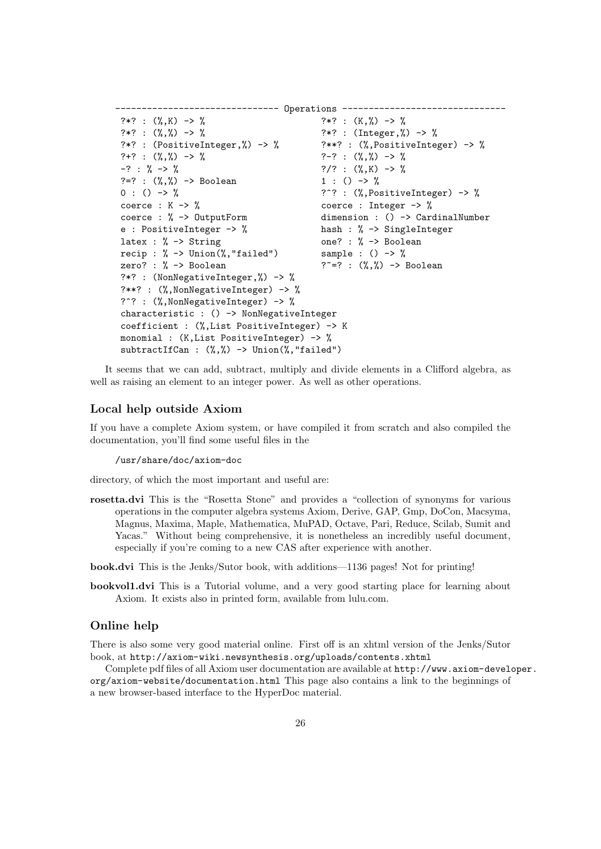```
------------------------------- Operations -------------------------------
?*? : (\%, K) \rightarrow \% ?*? : (K, \%) \rightarrow \%?*? : (\frac{9}{6}, \frac{9}{6}) \rightarrow \frac{9}{6} ?*? : (Integer, \frac{9}{6} \rightarrow \frac{9}{6}?*? : (PositiveInteger,%) -> % ?**? : (%,PositiveInteger) -> %
?+? : (\%, \%) \rightarrow \% ?-? : (\%, \%) \rightarrow \%-? : % -> %
?=? : (\%, \%) \rightarrow \text{Boolean} 1 : () -> %
0 : () -> % ?^? : (%,PositiveInteger) -> %
coerce : K -> % coerce : Integer -> %
coerce : % -> OutputForm dimension : () -> CardinalNumber
e : PositiveInteger -> % hash : % -> SingleInteger
latex : \% \rightarrow String one? : \% \rightarrow Boolean recip : \% \rightarrow Union(\%, "failed") sample : () -> \%recip : \% \rightarrow Union(\%, "failed")
zero? : % -> Boolean ? - =? : (\%, \%) -> Boolean?*? : (NonNegativeInteger,%) -> %
?**? : (%, NonNegativeInteger) -> %
?^? : (%, NonNegativeInteger) -> %
characteristic : () -> NonNegativeInteger
coefficient : (%,List PositiveInteger) -> K
monomial : (K,List PositiveInteger) -> %
subtractIfCan : (%,%) -> Union(%,"failed")
```
It seems that we can add, subtract, multiply and divide elements in a Clifford algebra, as well as raising an element to an integer power. As well as other operations.

### Local help outside Axiom

If you have a complete Axiom system, or have compiled it from scratch and also compiled the documentation, you'll find some useful files in the

/usr/share/doc/axiom-doc

directory, of which the most important and useful are:

rosetta.dvi This is the "Rosetta Stone" and provides a "collection of synonyms for various operations in the computer algebra systems Axiom, Derive, GAP, Gmp, DoCon, Macsyma, Magnus, Maxima, Maple, Mathematica, MuPAD, Octave, Pari, Reduce, Scilab, Sumit and Yacas." Without being comprehensive, it is nonetheless an incredibly useful document, especially if you're coming to a new CAS after experience with another.

book.dvi This is the Jenks/Sutor book, with additions—1136 pages! Not for printing!

bookvol1.dvi This is a Tutorial volume, and a very good starting place for learning about Axiom. It exists also in printed form, available from lulu.com.

## Online help

There is also some very good material online. First off is an xhtml version of the Jenks/Sutor book, at http://axiom-wiki.newsynthesis.org/uploads/contents.xhtml

Complete pdf files of all Axiom user documentation are available at http://www.axiom-developer. org/axiom-website/documentation.html This page also contains a link to the beginnings of a new browser-based interface to the HyperDoc material.